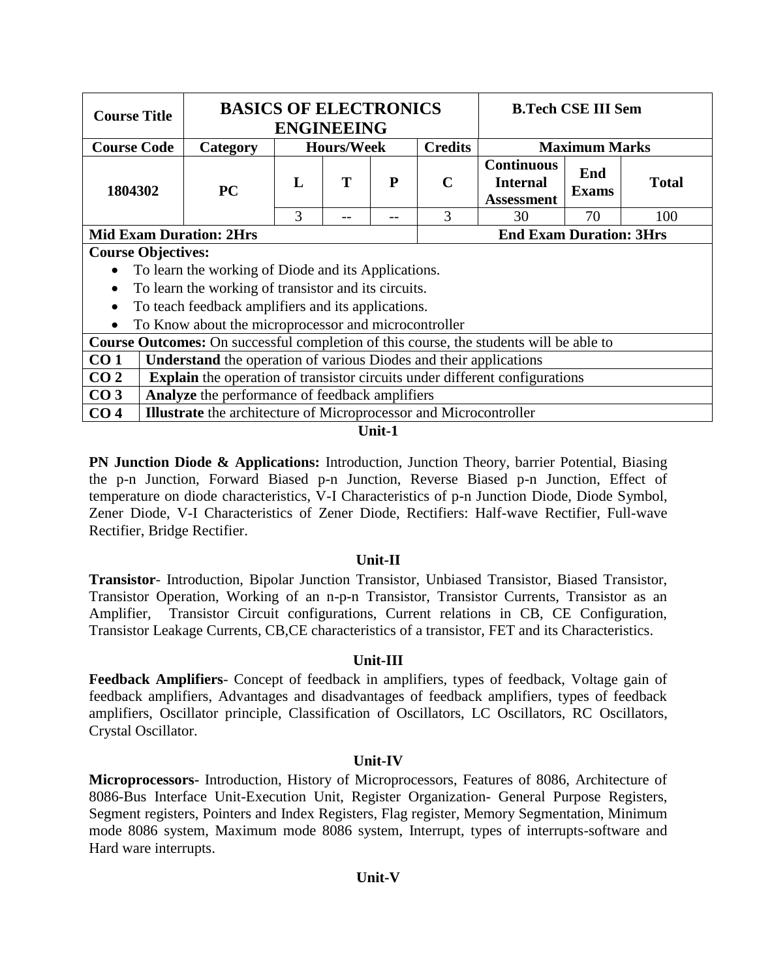| <b>Course Title</b>       |                                                                  |                                                                                                                                                   |  | <b>BASICS OF ELECTRONICS</b><br><b>B.Tech CSE III Sem</b><br><b>ENGINEEING</b> |  |                                        |  |              |     |  |
|---------------------------|------------------------------------------------------------------|---------------------------------------------------------------------------------------------------------------------------------------------------|--|--------------------------------------------------------------------------------|--|----------------------------------------|--|--------------|-----|--|
| <b>Course Code</b>        |                                                                  | Category                                                                                                                                          |  | <b>Hours/Week</b>                                                              |  | <b>Credits</b><br><b>Maximum Marks</b> |  |              |     |  |
| 1804302                   |                                                                  | <b>Continuous</b><br>End<br>T<br>$\mathbf C$<br>L<br>P<br><b>Internal</b><br><b>PC</b><br><b>Exams</b><br><b>Assessment</b><br>3<br>3<br>70<br>30 |  |                                                                                |  |                                        |  | <b>Total</b> |     |  |
|                           |                                                                  |                                                                                                                                                   |  |                                                                                |  |                                        |  |              | 100 |  |
|                           | <b>End Exam Duration: 3Hrs</b><br><b>Mid Exam Duration: 2Hrs</b> |                                                                                                                                                   |  |                                                                                |  |                                        |  |              |     |  |
| <b>Course Objectives:</b> |                                                                  |                                                                                                                                                   |  |                                                                                |  |                                        |  |              |     |  |
|                           |                                                                  | To learn the working of Diode and its Applications.                                                                                               |  |                                                                                |  |                                        |  |              |     |  |
| $\bullet$                 |                                                                  | To learn the working of transistor and its circuits.                                                                                              |  |                                                                                |  |                                        |  |              |     |  |
| $\bullet$                 |                                                                  | To teach feedback amplifiers and its applications.                                                                                                |  |                                                                                |  |                                        |  |              |     |  |
| $\bullet$                 |                                                                  | To Know about the microprocessor and microcontroller                                                                                              |  |                                                                                |  |                                        |  |              |     |  |
|                           |                                                                  | <b>Course Outcomes:</b> On successful completion of this course, the students will be able to                                                     |  |                                                                                |  |                                        |  |              |     |  |
| CO <sub>1</sub>           |                                                                  | <b>Understand</b> the operation of various Diodes and their applications                                                                          |  |                                                                                |  |                                        |  |              |     |  |
| CO <sub>2</sub>           |                                                                  | <b>Explain</b> the operation of transistor circuits under different configurations                                                                |  |                                                                                |  |                                        |  |              |     |  |
| CO <sub>3</sub>           |                                                                  | Analyze the performance of feedback amplifiers                                                                                                    |  |                                                                                |  |                                        |  |              |     |  |
| CO <sub>4</sub>           |                                                                  | <b>Illustrate</b> the architecture of Microprocessor and Microcontroller                                                                          |  |                                                                                |  |                                        |  |              |     |  |

#### **Unit-1**

**PN Junction Diode & Applications:** Introduction, Junction Theory, barrier Potential, Biasing the p-n Junction, Forward Biased p-n Junction, Reverse Biased p-n Junction, Effect of temperature on diode characteristics, V-I Characteristics of p-n Junction Diode, Diode Symbol, Zener Diode, V-I Characteristics of Zener Diode, Rectifiers: Half-wave Rectifier, Full-wave Rectifier, Bridge Rectifier.

## **Unit-II**

**Transistor**- Introduction, Bipolar Junction Transistor, Unbiased Transistor, Biased Transistor, Transistor Operation, Working of an n-p-n Transistor, Transistor Currents, Transistor as an Amplifier, Transistor Circuit configurations, Current relations in CB, CE Configuration, Transistor Leakage Currents, CB,CE characteristics of a transistor, FET and its Characteristics.

## **Unit-III**

**Feedback Amplifiers**- Concept of feedback in amplifiers, types of feedback, Voltage gain of feedback amplifiers, Advantages and disadvantages of feedback amplifiers, types of feedback amplifiers, Oscillator principle, Classification of Oscillators, LC Oscillators, RC Oscillators, Crystal Oscillator.

## **Unit-IV**

**Microprocessors-** Introduction, History of Microprocessors, Features of 8086, Architecture of 8086-Bus Interface Unit-Execution Unit, Register Organization- General Purpose Registers, Segment registers, Pointers and Index Registers, Flag register, Memory Segmentation, Minimum mode 8086 system, Maximum mode 8086 system, Interrupt, types of interrupts-software and Hard ware interrupts.

## **Unit-V**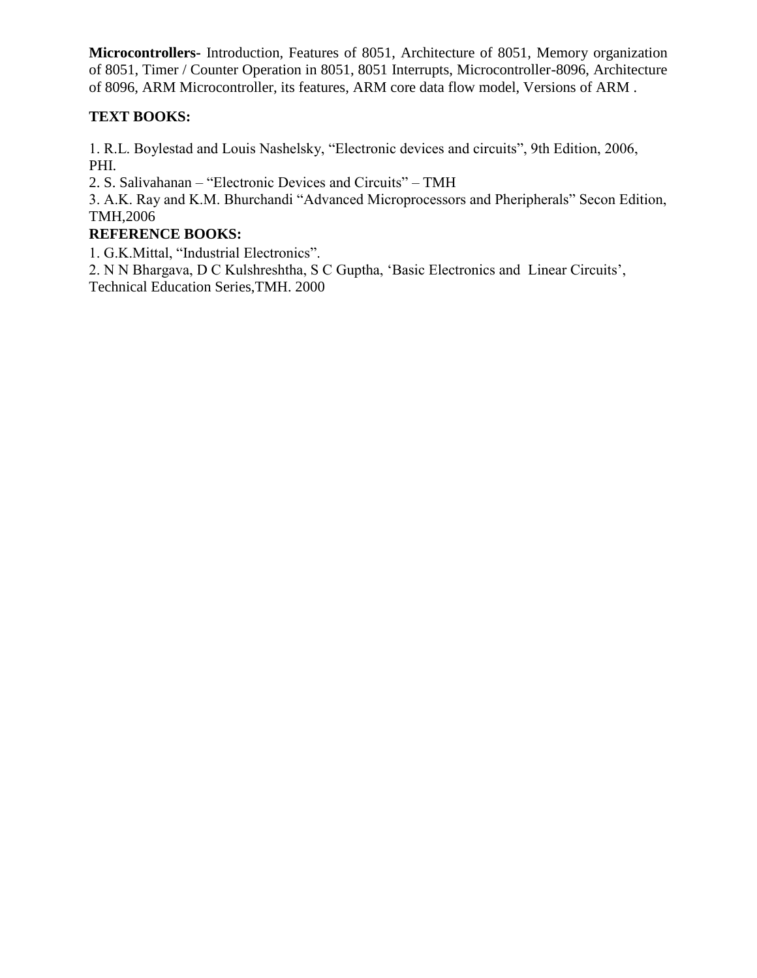**Microcontrollers-** Introduction, Features of 8051, Architecture of 8051, Memory organization of 8051, Timer / Counter Operation in 8051, 8051 Interrupts, Microcontroller-8096, Architecture of 8096, ARM Microcontroller, its features, ARM core data flow model, Versions of ARM .

# **TEXT BOOKS:**

1. R.L. Boylestad and Louis Nashelsky, "Electronic devices and circuits", 9th Edition, 2006, PHI.

2. S. Salivahanan – "Electronic Devices and Circuits" – TMH

3. A.K. Ray and K.M. Bhurchandi "Advanced Microprocessors and Pheripherals" Secon Edition, TMH,2006

# **REFERENCE BOOKS:**

1. G.K.Mittal, "Industrial Electronics".

2. N N Bhargava, D C Kulshreshtha, S C Guptha, 'Basic Electronics and Linear Circuits', Technical Education Series,TMH. 2000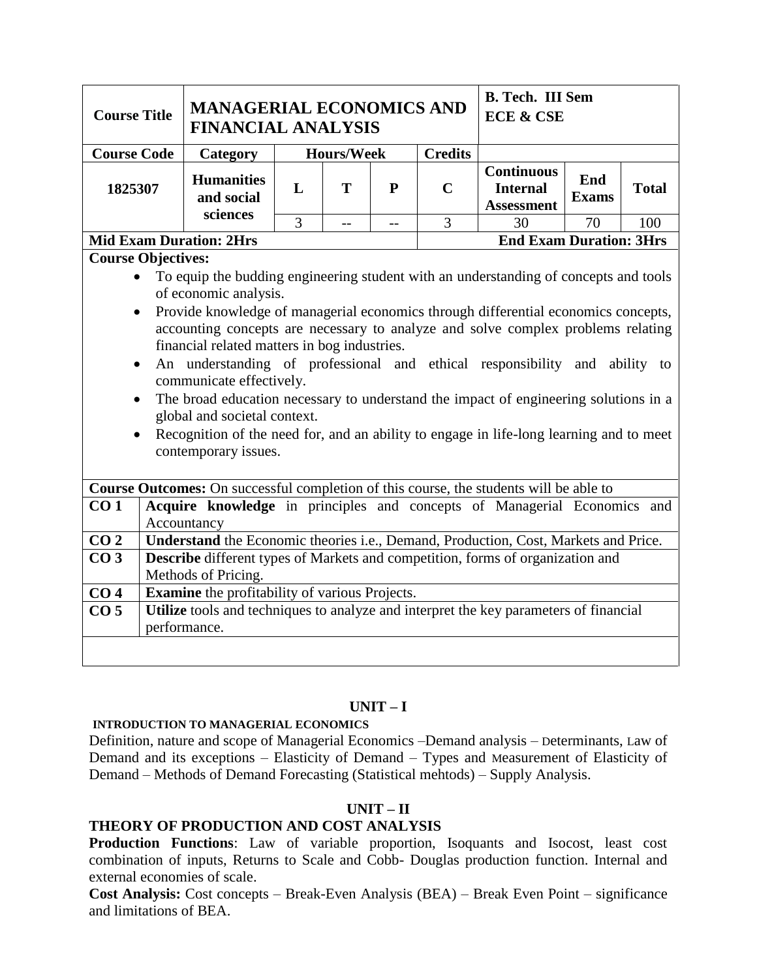| <b>Course Title</b>                                              | <b>MANAGERIAL ECONOMICS AND</b><br><b>FINANCIAL ANALYSIS</b>                                                                                                                                                                                                                                                                                                                                                                                                                                                                                                                              |                   |  |  |                | <b>B. Tech. III Sem</b><br><b>ECE &amp; CSE</b> |  |            |  |  |
|------------------------------------------------------------------|-------------------------------------------------------------------------------------------------------------------------------------------------------------------------------------------------------------------------------------------------------------------------------------------------------------------------------------------------------------------------------------------------------------------------------------------------------------------------------------------------------------------------------------------------------------------------------------------|-------------------|--|--|----------------|-------------------------------------------------|--|------------|--|--|
| <b>Course Code</b>                                               | Category                                                                                                                                                                                                                                                                                                                                                                                                                                                                                                                                                                                  | <b>Hours/Week</b> |  |  | <b>Credits</b> |                                                 |  |            |  |  |
| 1825307                                                          | <b>Continuous</b><br><b>Humanities</b><br>End<br>T<br><b>Total</b><br>L<br>$\mathbf{P}$<br>$\mathbf C$<br><b>Internal</b><br>and social<br><b>Exams</b><br><b>Assessment</b><br>sciences                                                                                                                                                                                                                                                                                                                                                                                                  |                   |  |  |                |                                                 |  |            |  |  |
|                                                                  | $\overline{3}$<br>3<br>70<br>100<br>30<br>$\overline{a}$<br>$-$                                                                                                                                                                                                                                                                                                                                                                                                                                                                                                                           |                   |  |  |                |                                                 |  |            |  |  |
| <b>End Exam Duration: 3Hrs</b><br><b>Mid Exam Duration: 2Hrs</b> |                                                                                                                                                                                                                                                                                                                                                                                                                                                                                                                                                                                           |                   |  |  |                |                                                 |  |            |  |  |
|                                                                  | <b>Course Objectives:</b><br>To equip the budding engineering student with an understanding of concepts and tools                                                                                                                                                                                                                                                                                                                                                                                                                                                                         |                   |  |  |                |                                                 |  |            |  |  |
| $\bullet$<br>$\bullet$                                           | of economic analysis.<br>Provide knowledge of managerial economics through differential economics concepts,<br>accounting concepts are necessary to analyze and solve complex problems relating<br>financial related matters in bog industries.<br>An understanding of professional and ethical responsibility and<br>communicate effectively.<br>The broad education necessary to understand the impact of engineering solutions in a<br>global and societal context.<br>Recognition of the need for, and an ability to engage in life-long learning and to meet<br>contemporary issues. |                   |  |  |                |                                                 |  | ability to |  |  |
|                                                                  | Course Outcomes: On successful completion of this course, the students will be able to                                                                                                                                                                                                                                                                                                                                                                                                                                                                                                    |                   |  |  |                |                                                 |  |            |  |  |
| CO <sub>1</sub>                                                  | Acquire knowledge in principles and concepts of Managerial Economics and<br>Accountancy                                                                                                                                                                                                                                                                                                                                                                                                                                                                                                   |                   |  |  |                |                                                 |  |            |  |  |
| CO <sub>2</sub>                                                  |                                                                                                                                                                                                                                                                                                                                                                                                                                                                                                                                                                                           |                   |  |  |                |                                                 |  |            |  |  |
| CO <sub>3</sub>                                                  | Understand the Economic theories i.e., Demand, Production, Cost, Markets and Price.<br>Describe different types of Markets and competition, forms of organization and<br>Methods of Pricing.                                                                                                                                                                                                                                                                                                                                                                                              |                   |  |  |                |                                                 |  |            |  |  |
| CO <sub>4</sub>                                                  | <b>Examine</b> the profitability of various Projects.                                                                                                                                                                                                                                                                                                                                                                                                                                                                                                                                     |                   |  |  |                |                                                 |  |            |  |  |
| CO <sub>5</sub>                                                  | Utilize tools and techniques to analyze and interpret the key parameters of financial<br>performance.                                                                                                                                                                                                                                                                                                                                                                                                                                                                                     |                   |  |  |                |                                                 |  |            |  |  |
|                                                                  |                                                                                                                                                                                                                                                                                                                                                                                                                                                                                                                                                                                           |                   |  |  |                |                                                 |  |            |  |  |

## **UNIT – I**

#### **INTRODUCTION TO MANAGERIAL ECONOMICS**

Definition, nature and scope of Managerial Economics –Demand analysis – Determinants, Law of Demand and its exceptions – Elasticity of Demand – Types and Measurement of Elasticity of Demand – Methods of Demand Forecasting (Statistical mehtods) – Supply Analysis.

# **UNIT – II**

# **THEORY OF PRODUCTION AND COST ANALYSIS**

**Production Functions**: Law of variable proportion, Isoquants and Isocost, least cost combination of inputs, Returns to Scale and Cobb- Douglas production function. Internal and external economies of scale.

**Cost Analysis:** Cost concepts – Break-Even Analysis (BEA) – Break Even Point – significance and limitations of BEA.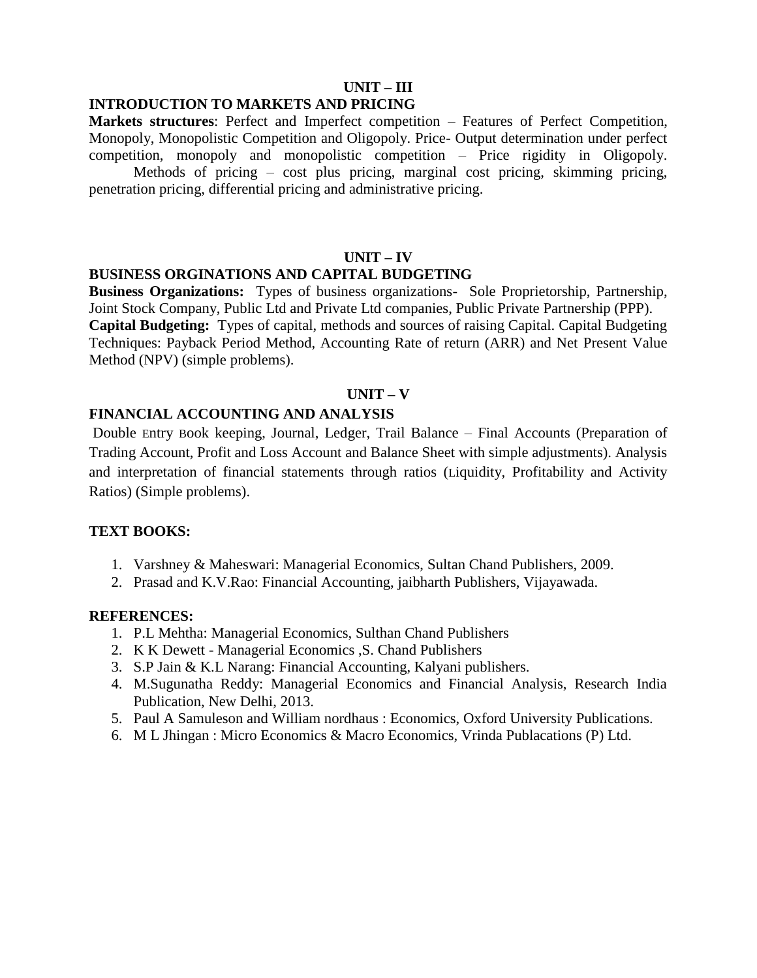## **UNIT – III**

## **INTRODUCTION TO MARKETS AND PRICING**

**Markets structures**: Perfect and Imperfect competition – Features of Perfect Competition, Monopoly, Monopolistic Competition and Oligopoly. Price- Output determination under perfect competition, monopoly and monopolistic competition – Price rigidity in Oligopoly.

Methods of pricing – cost plus pricing, marginal cost pricing, skimming pricing, penetration pricing, differential pricing and administrative pricing.

#### **UNIT – IV**

#### **BUSINESS ORGINATIONS AND CAPITAL BUDGETING**

**Business Organizations:** Types of business organizations- Sole Proprietorship, Partnership, Joint Stock Company, Public Ltd and Private Ltd companies, Public Private Partnership (PPP). **Capital Budgeting:** Types of capital, methods and sources of raising Capital. Capital Budgeting Techniques: Payback Period Method, Accounting Rate of return (ARR) and Net Present Value Method (NPV) (simple problems).

#### **UNIT – V**

#### **FINANCIAL ACCOUNTING AND ANALYSIS**

Double Entry Book keeping, Journal, Ledger, Trail Balance – Final Accounts (Preparation of Trading Account, Profit and Loss Account and Balance Sheet with simple adjustments). Analysis and interpretation of financial statements through ratios (Liquidity, Profitability and Activity Ratios) (Simple problems).

#### **TEXT BOOKS:**

- 1. Varshney & Maheswari: Managerial Economics, Sultan Chand Publishers, 2009.
- 2. Prasad and K.V.Rao: Financial Accounting, jaibharth Publishers, Vijayawada.

#### **REFERENCES:**

- 1. P.L Mehtha: Managerial Economics, Sulthan Chand Publishers
- 2. K K Dewett [Managerial Economics ,S. Chand Publishe](https://www.schandpublishing.com/author-details/k-k-dewett/508)rs
- 3. S.P Jain & K.L Narang: Financial Accounting, Kalyani publishers.
- 4. M.Sugunatha Reddy: Managerial Economics and Financial Analysis, Research India Publication, New Delhi, 2013.
- 5. Paul A Samuleson and William nordhaus : Economics, Oxford University Publications.
- 6. M L Jhingan : Micro Economics & Macro Economics, Vrinda Publacations (P) Ltd.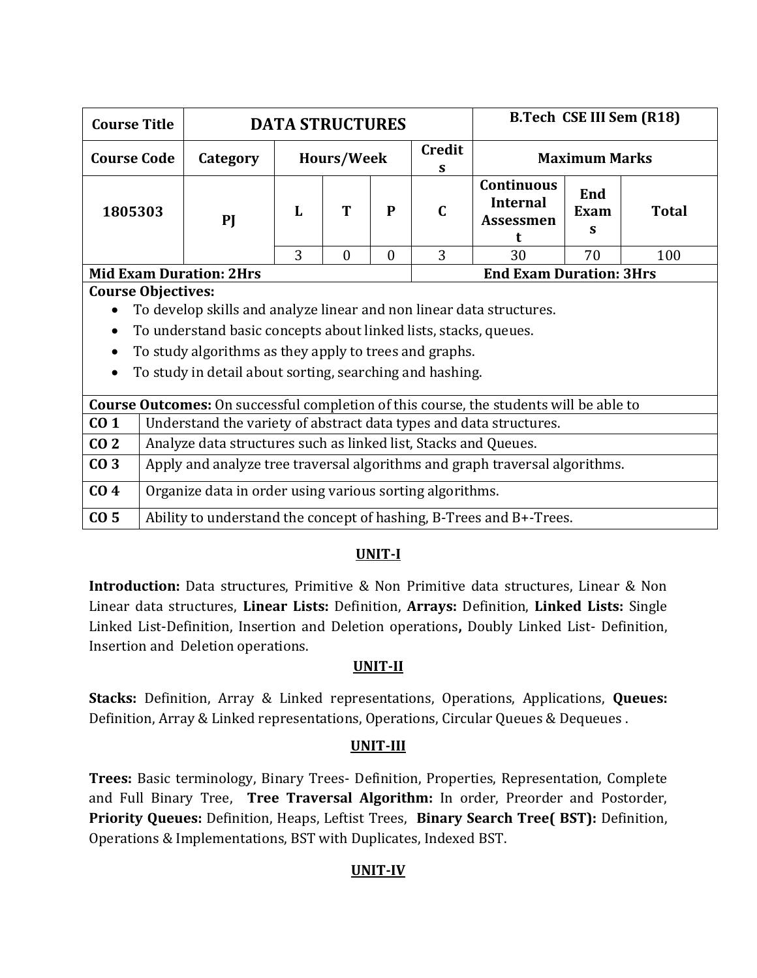| <b>Course Title</b>                                                                           |                                                                      | <b>DATA STRUCTURES</b> |            |              |                                                                                                                         |                                | B.Tech CSE III Sem (R18) |  |  |  |  |  |  |
|-----------------------------------------------------------------------------------------------|----------------------------------------------------------------------|------------------------|------------|--------------|-------------------------------------------------------------------------------------------------------------------------|--------------------------------|--------------------------|--|--|--|--|--|--|
| <b>Course Code</b>                                                                            | Category                                                             |                        | Hours/Week |              | <b>Credit</b><br>S                                                                                                      | <b>Maximum Marks</b>           |                          |  |  |  |  |  |  |
| 1805303                                                                                       | PI                                                                   | L                      | T          | $\mathbf{P}$ | <b>Continuous</b><br>End<br><b>Internal</b><br>$\mathbf C$<br><b>Total</b><br>Exam<br><b>Assessmen</b><br>s<br>$\Omega$ |                                |                          |  |  |  |  |  |  |
|                                                                                               |                                                                      | 3                      | 30         | 70           | 100                                                                                                                     |                                |                          |  |  |  |  |  |  |
| <b>Mid Exam Duration: 2Hrs</b>                                                                |                                                                      |                        |            |              |                                                                                                                         | <b>End Exam Duration: 3Hrs</b> |                          |  |  |  |  |  |  |
| <b>Course Objectives:</b>                                                                     |                                                                      |                        |            |              |                                                                                                                         |                                |                          |  |  |  |  |  |  |
|                                                                                               | To develop skills and analyze linear and non linear data structures. |                        |            |              |                                                                                                                         |                                |                          |  |  |  |  |  |  |
| $\bullet$                                                                                     | To understand basic concepts about linked lists, stacks, queues.     |                        |            |              |                                                                                                                         |                                |                          |  |  |  |  |  |  |
|                                                                                               | To study algorithms as they apply to trees and graphs.               |                        |            |              |                                                                                                                         |                                |                          |  |  |  |  |  |  |
| To study in detail about sorting, searching and hashing.<br>$\bullet$                         |                                                                      |                        |            |              |                                                                                                                         |                                |                          |  |  |  |  |  |  |
| <b>Course Outcomes:</b> On successful completion of this course, the students will be able to |                                                                      |                        |            |              |                                                                                                                         |                                |                          |  |  |  |  |  |  |
| $\mathbf{C}$ 1                                                                                | Indectand the variety of abstract data types and data structures     |                        |            |              |                                                                                                                         |                                |                          |  |  |  |  |  |  |

|                 | • To study in detail about softing, searching and hashing.                                    |
|-----------------|-----------------------------------------------------------------------------------------------|
|                 | <b>Course Outcomes:</b> On successful completion of this course, the students will be able to |
| CO <sub>1</sub> | Understand the variety of abstract data types and data structures.                            |
| CO <sub>2</sub> | Analyze data structures such as linked list, Stacks and Queues.                               |
| CO <sub>3</sub> | Apply and analyze tree traversal algorithms and graph traversal algorithms.                   |
| CO <sub>4</sub> | Organize data in order using various sorting algorithms.                                      |
| CO <sub>5</sub> | Ability to understand the concept of hashing, B-Trees and B+-Trees.                           |

**Introduction:** Data structures, Primitive & Non Primitive data structures, Linear & Non Linear data structures, **Linear Lists:** Definition, **Arrays:** Definition, **Linked Lists:** Single Linked List-Definition, Insertion and Deletion operations**,** Doubly Linked List- Definition, Insertion and Deletion operations.

# **UNIT-II**

**Stacks:** Definition, Array & Linked representations, Operations, Applications, **Queues:** Definition, Array & Linked representations, Operations, Circular Queues & Dequeues .

# **UNIT-III**

**Trees:** Basic terminology, Binary Trees- Definition, Properties, Representation, Complete and Full Binary Tree, **Tree Traversal Algorithm:** In order, Preorder and Postorder, **Priority Queues:** Definition, Heaps, Leftist Trees, **Binary Search Tree( BST):** Definition, Operations & Implementations, BST with Duplicates, Indexed BST.

# **UNIT-IV**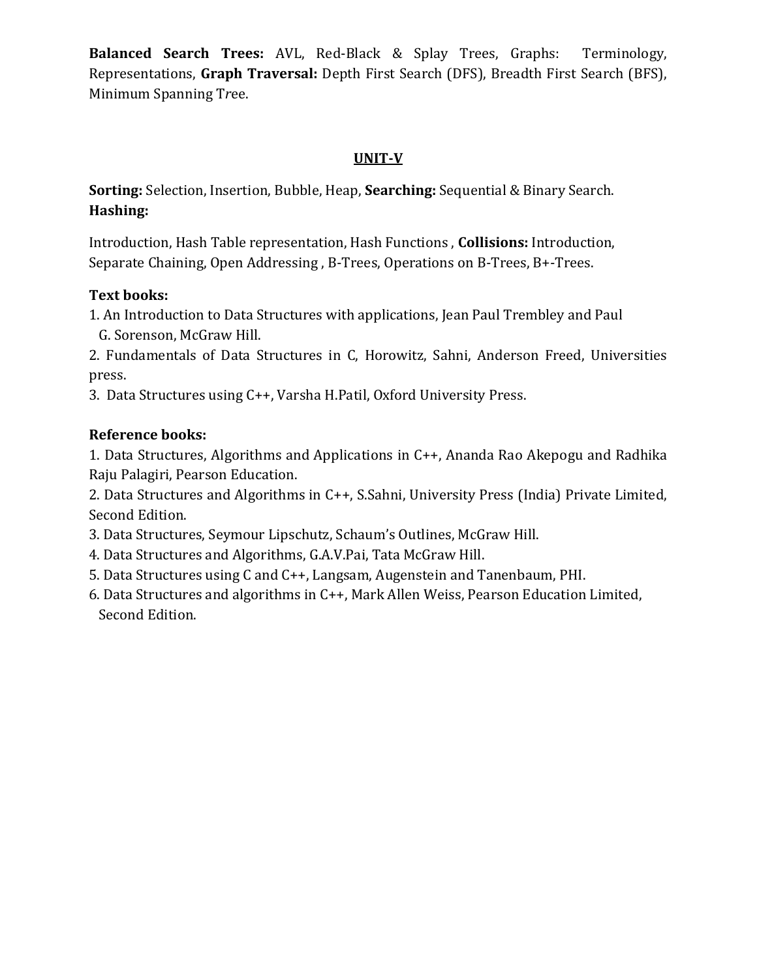**Balanced Search Trees:** AVL, Red-Black & Splay Trees, Graphs: Terminology, Representations, **Graph Traversal:** Depth First Search (DFS), Breadth First Search (BFS), Minimum Spanning T*r*ee.

# **UNIT-V**

**Sorting:** Selection, Insertion, Bubble, Heap, **Searching:** Sequential & Binary Search. **Hashing:**

Introduction, Hash Table representation, Hash Functions , **Collisions:** Introduction, Separate Chaining, Open Addressing , B-Trees, Operations on B-Trees, B+-Trees.

# **Text books:**

1. An Introduction to Data Structures with applications, Jean Paul Trembley and Paul G. Sorenson, McGraw Hill.

2. Fundamentals of Data Structures in C, Horowitz, Sahni, Anderson Freed, Universities press.

3. Data Structures using C++, Varsha H.Patil, Oxford University Press.

# **Reference books:**

1. Data Structures, Algorithms and Applications in C++, Ananda Rao Akepogu and Radhika Raju Palagiri, Pearson Education.

2. Data Structures and Algorithms in C++, S.Sahni, University Press (India) Private Limited, Second Edition.

- 3. Data Structures, Seymour Lipschutz, Schaum's Outlines, McGraw Hill.
- 4. Data Structures and Algorithms, G.A.V.Pai, Tata McGraw Hill.
- 5. Data Structures using C and C++, Langsam, Augenstein and Tanenbaum, PHI.
- 6. Data Structures and algorithms in C++, Mark Allen Weiss, Pearson Education Limited, Second Edition.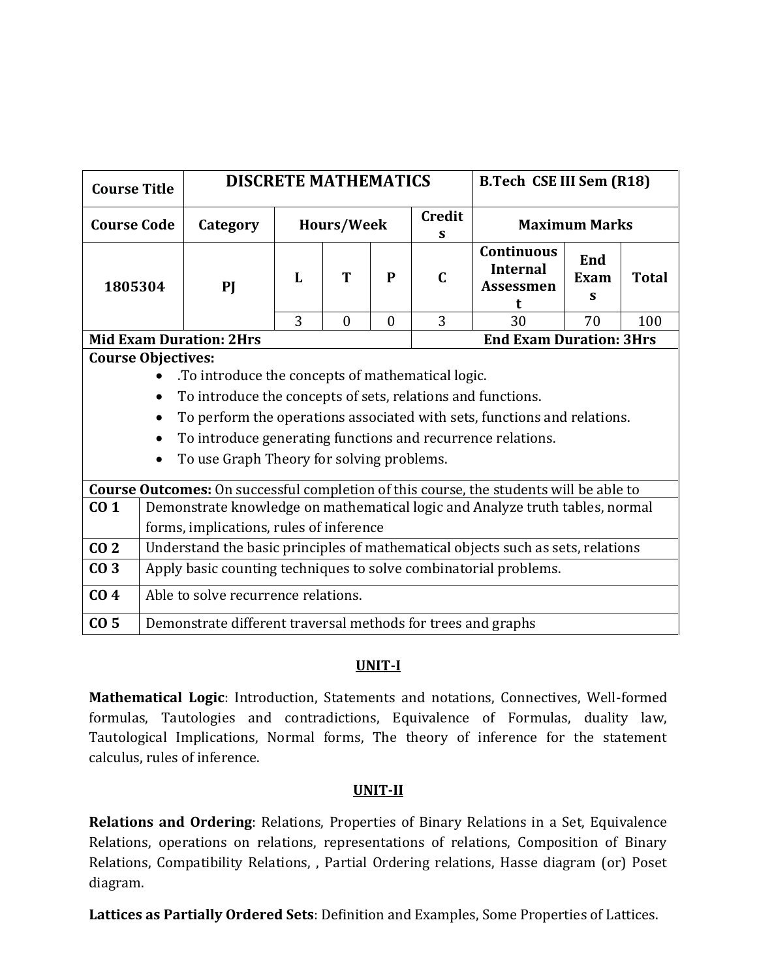| <b>Course Title</b>       |                                                   | <b>DISCRETE MATHEMATICS</b><br><b>B.Tech CSE III Sem (R18)</b>   |            |   |              |                    |                                                                                               |                      |  |
|---------------------------|---------------------------------------------------|------------------------------------------------------------------|------------|---|--------------|--------------------|-----------------------------------------------------------------------------------------------|----------------------|--|
| <b>Course Code</b>        |                                                   | Category                                                         | Hours/Week |   |              | <b>Credit</b><br>S |                                                                                               | <b>Maximum Marks</b> |  |
| 1805304                   |                                                   | PI                                                               | L          | Т | $\mathbf{P}$ | $\mathbf C$        | <b>Continuous</b><br><b>Internal</b><br><b>Assessmen</b><br>t                                 | <b>Total</b>         |  |
|                           | 3<br>3<br>70<br>$\theta$<br>$\theta$<br>30<br>100 |                                                                  |            |   |              |                    |                                                                                               |                      |  |
|                           |                                                   | <b>Mid Exam Duration: 2Hrs</b><br><b>End Exam Duration: 3Hrs</b> |            |   |              |                    |                                                                                               |                      |  |
| <b>Course Objectives:</b> |                                                   |                                                                  |            |   |              |                    |                                                                                               |                      |  |
|                           |                                                   | . To introduce the concepts of mathematical logic.               |            |   |              |                    |                                                                                               |                      |  |
|                           |                                                   | To introduce the concepts of sets, relations and functions.      |            |   |              |                    |                                                                                               |                      |  |
|                           |                                                   |                                                                  |            |   |              |                    | To perform the operations associated with sets, functions and relations.                      |                      |  |
|                           |                                                   | To introduce generating functions and recurrence relations.      |            |   |              |                    |                                                                                               |                      |  |
|                           |                                                   | To use Graph Theory for solving problems.                        |            |   |              |                    |                                                                                               |                      |  |
|                           |                                                   |                                                                  |            |   |              |                    | <b>Course Outcomes:</b> On successful completion of this course, the students will be able to |                      |  |
| CO <sub>1</sub>           |                                                   |                                                                  |            |   |              |                    | Demonstrate knowledge on mathematical logic and Analyze truth tables, normal                  |                      |  |
|                           |                                                   | forms, implications, rules of inference                          |            |   |              |                    |                                                                                               |                      |  |
| CO <sub>2</sub>           |                                                   |                                                                  |            |   |              |                    | Understand the basic principles of mathematical objects such as sets, relations               |                      |  |
| CO <sub>3</sub>           |                                                   | Apply basic counting techniques to solve combinatorial problems. |            |   |              |                    |                                                                                               |                      |  |
| CO <sub>4</sub>           |                                                   | Able to solve recurrence relations.                              |            |   |              |                    |                                                                                               |                      |  |
| CO <sub>5</sub>           |                                                   | Demonstrate different traversal methods for trees and graphs     |            |   |              |                    |                                                                                               |                      |  |

**Mathematical Logic**: Introduction, Statements and notations, Connectives, Well-formed formulas, Tautologies and contradictions, Equivalence of Formulas, duality law, Tautological Implications, Normal forms, The theory of inference for the statement calculus, rules of inference.

# **UNIT-II**

**Relations and Ordering**: Relations, Properties of Binary Relations in a Set, Equivalence Relations, operations on relations, representations of relations, Composition of Binary Relations, Compatibility Relations, , Partial Ordering relations, Hasse diagram (or) Poset diagram.

**Lattices as Partially Ordered Sets**: Definition and Examples, Some Properties of Lattices.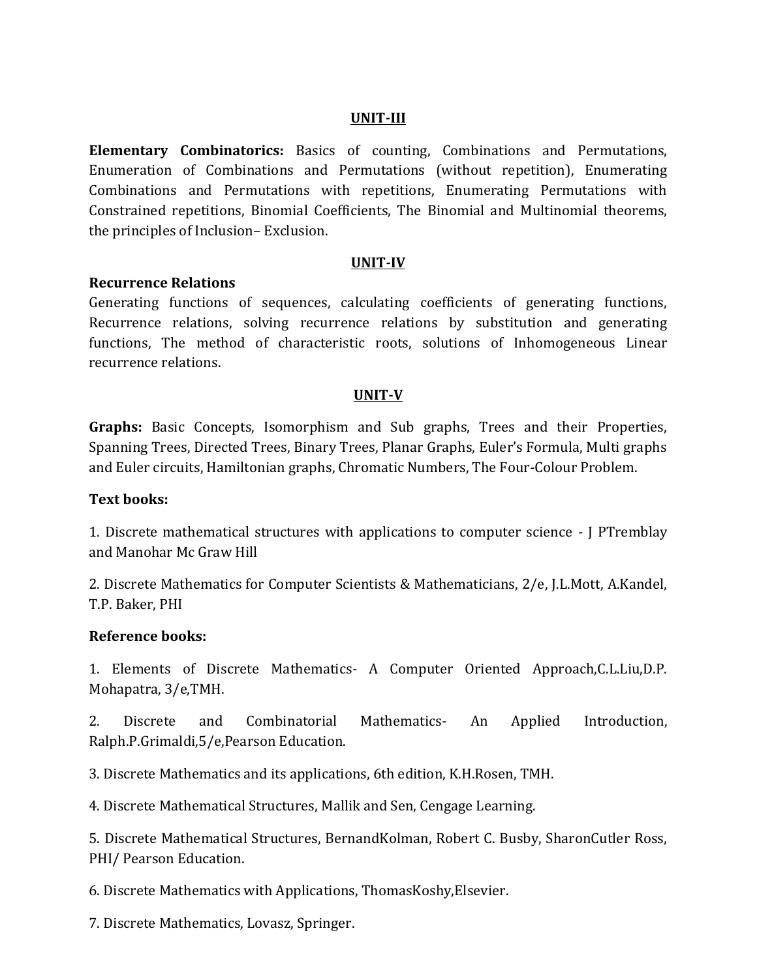#### **UNIT-III**

**Elementary Combinatorics:** Basics of counting, Combinations and Permutations, Enumeration of Combinations and Permutations (without repetition), Enumerating Combinations and Permutations with repetitions, Enumerating Permutations with Constrained repetitions, Binomial Coefficients, The Binomial and Multinomial theorems, the principles of Inclusion– Exclusion.

#### **UNIT-IV**

## **Recurrence Relations**

Generating functions of sequences, calculating coefficients of generating functions, Recurrence relations, solving recurrence relations by substitution and generating functions, The method of characteristic roots, solutions of Inhomogeneous Linear recurrence relations.

## **UNIT-V**

**Graphs:** Basic Concepts, Isomorphism and Sub graphs, Trees and their Properties, Spanning Trees, Directed Trees, Binary Trees, Planar Graphs, Euler's Formula, Multi graphs and Euler circuits, Hamiltonian graphs, Chromatic Numbers, The Four-Colour Problem.

## **Text books:**

1. Discrete mathematical structures with applications to computer science - J PTremblay and Manohar Mc Graw Hill

2. Discrete Mathematics for Computer Scientists & Mathematicians, 2/e, J.L.Mott, A.Kandel, T.P. Baker, PHI

## **Reference books:**

1. Elements of Discrete Mathematics- A Computer Oriented Approach,C.L.Liu,D.P. Mohapatra, 3/e,TMH.

2. Discrete and Combinatorial Mathematics- An Applied Introduction, Ralph.P.Grimaldi,5/e,Pearson Education.

3. Discrete Mathematics and its applications, 6th edition, K.H.Rosen, TMH.

4. Discrete Mathematical Structures, Mallik and Sen, Cengage Learning.

5. Discrete Mathematical Structures, BernandKolman, Robert C. Busby, SharonCutler Ross, PHI/ Pearson Education.

6. Discrete Mathematics with Applications, ThomasKoshy,Elsevier.

7. Discrete Mathematics, Lovasz, Springer.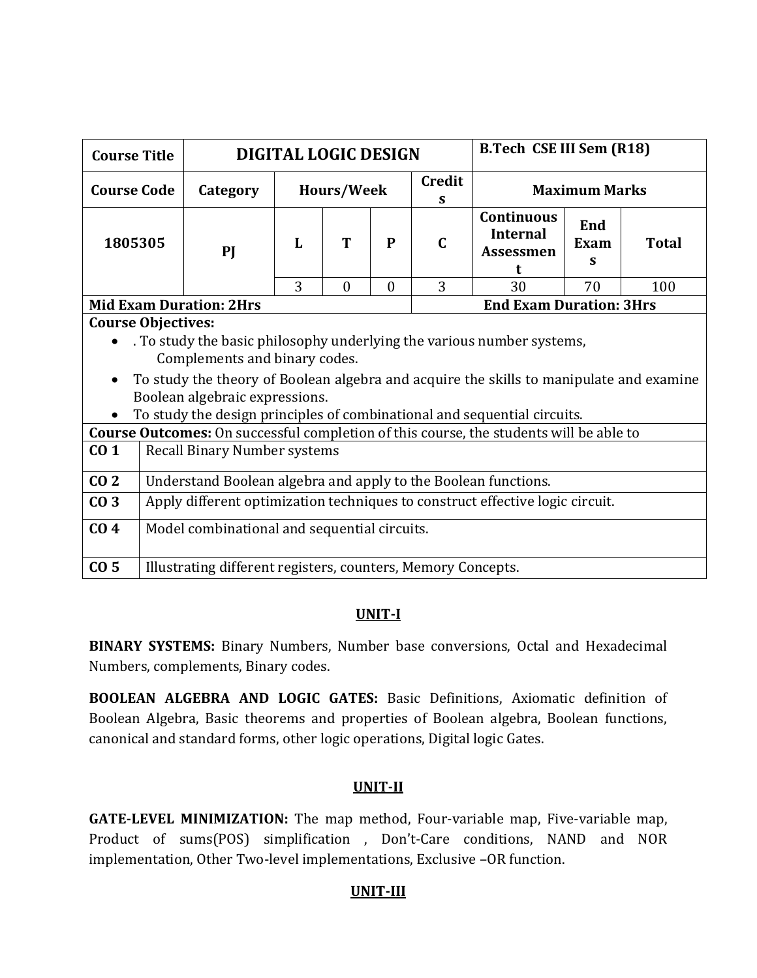| <b>Course Title</b>                        |                                              |                                                                               | <b>DIGITAL LOGIC DESIGN</b> |                   |              |                    |                                                                                                                                                                                                                                               | <b>B.Tech CSE III Sem (R18)</b> |              |  |  |
|--------------------------------------------|----------------------------------------------|-------------------------------------------------------------------------------|-----------------------------|-------------------|--------------|--------------------|-----------------------------------------------------------------------------------------------------------------------------------------------------------------------------------------------------------------------------------------------|---------------------------------|--------------|--|--|
| <b>Course Code</b>                         |                                              | Category                                                                      |                             | <b>Hours/Week</b> |              | <b>Credit</b><br>S |                                                                                                                                                                                                                                               | <b>Maximum Marks</b>            |              |  |  |
| 1805305                                    |                                              | PI                                                                            | L                           | T                 | $\mathbf{P}$ | $\mathbf C$        | <b>Continuous</b><br><b>Internal</b><br><b>Assessmen</b><br>t                                                                                                                                                                                 | End<br>Exam<br>S                | <b>Total</b> |  |  |
| 3<br>3<br>$\theta$<br>30<br>70<br>$\theta$ |                                              |                                                                               |                             |                   |              |                    | 100                                                                                                                                                                                                                                           |                                 |              |  |  |
| <b>Course Objectives:</b>                  |                                              | <b>Mid Exam Duration: 2Hrs</b>                                                |                             |                   |              |                    | <b>End Exam Duration: 3Hrs</b>                                                                                                                                                                                                                |                                 |              |  |  |
|                                            |                                              | Complements and binary codes.<br>Boolean algebraic expressions.               |                             |                   |              |                    | . To study the basic philosophy underlying the various number systems,<br>To study the theory of Boolean algebra and acquire the skills to manipulate and examine<br>To study the design principles of combinational and sequential circuits. |                                 |              |  |  |
|                                            |                                              |                                                                               |                             |                   |              |                    | <b>Course Outcomes:</b> On successful completion of this course, the students will be able to                                                                                                                                                 |                                 |              |  |  |
| CO <sub>1</sub>                            |                                              | <b>Recall Binary Number systems</b>                                           |                             |                   |              |                    |                                                                                                                                                                                                                                               |                                 |              |  |  |
| CO <sub>2</sub>                            |                                              | Understand Boolean algebra and apply to the Boolean functions.                |                             |                   |              |                    |                                                                                                                                                                                                                                               |                                 |              |  |  |
| CO <sub>3</sub>                            |                                              | Apply different optimization techniques to construct effective logic circuit. |                             |                   |              |                    |                                                                                                                                                                                                                                               |                                 |              |  |  |
| CO <sub>4</sub>                            | Model combinational and sequential circuits. |                                                                               |                             |                   |              |                    |                                                                                                                                                                                                                                               |                                 |              |  |  |
| CO <sub>5</sub>                            |                                              | Illustrating different registers, counters, Memory Concepts.                  |                             |                   |              |                    |                                                                                                                                                                                                                                               |                                 |              |  |  |

**BINARY SYSTEMS:** Binary Numbers, Number base conversions, Octal and Hexadecimal Numbers, complements, Binary codes.

**BOOLEAN ALGEBRA AND LOGIC GATES:** Basic Definitions, Axiomatic definition of Boolean Algebra, Basic theorems and properties of Boolean algebra, Boolean functions, canonical and standard forms, other logic operations, Digital logic Gates.

# **UNIT-II**

**GATE-LEVEL MINIMIZATION:** The map method, Four-variable map, Five-variable map, Product of sums(POS) simplification , Don't-Care conditions, NAND and NOR implementation, Other Two-level implementations, Exclusive –OR function.

# **UNIT-III**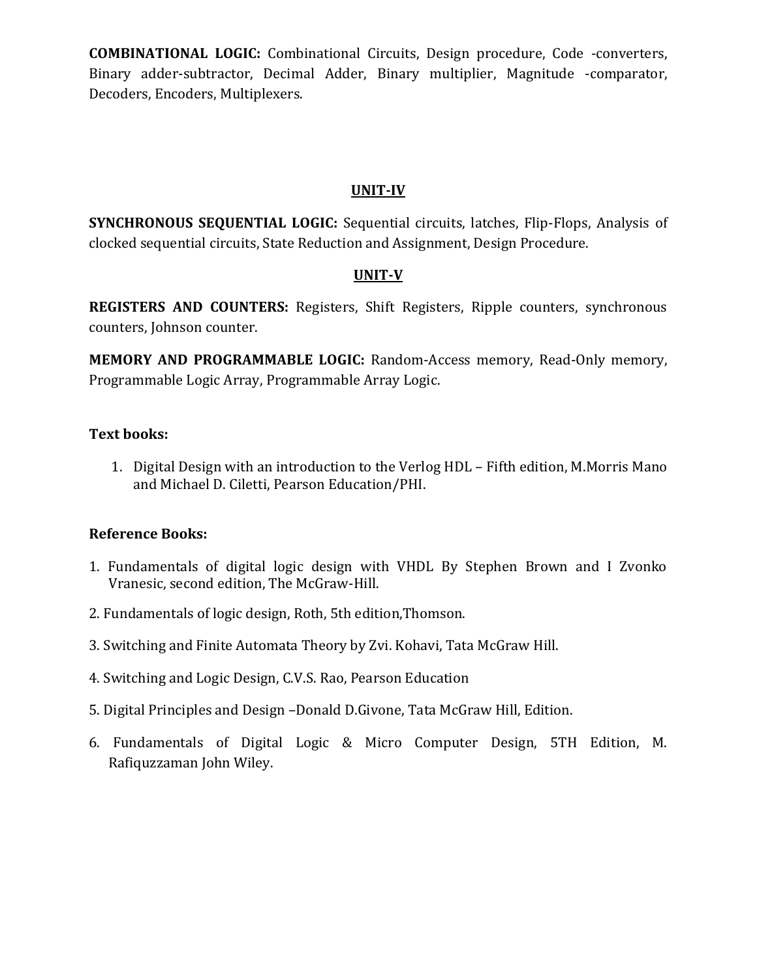**COMBINATIONAL LOGIC:** Combinational Circuits, Design procedure, Code -converters, Binary adder-subtractor, Decimal Adder, Binary multiplier, Magnitude -comparator, Decoders, Encoders, Multiplexers.

# **UNIT-IV**

**SYNCHRONOUS SEQUENTIAL LOGIC:** Sequential circuits, latches, Flip-Flops, Analysis of clocked sequential circuits, State Reduction and Assignment, Design Procedure.

# **UNIT-V**

**REGISTERS AND COUNTERS:** Registers, Shift Registers, Ripple counters, synchronous counters, Johnson counter.

**MEMORY AND PROGRAMMABLE LOGIC:** Random-Access memory, Read-Only memory, Programmable Logic Array, Programmable Array Logic.

# **Text books:**

1. Digital Design with an introduction to the Verlog HDL – Fifth edition, M.Morris Mano and Michael D. Ciletti, Pearson Education/PHI.

# **Reference Books:**

- 1. Fundamentals of digital logic design with VHDL By Stephen Brown and I Zvonko Vranesic, second edition, The McGraw-Hill.
- 2. Fundamentals of logic design, Roth, 5th edition,Thomson.
- 3. Switching and Finite Automata Theory by Zvi. Kohavi, Tata McGraw Hill.
- 4. Switching and Logic Design, C.V.S. Rao, Pearson Education
- 5. Digital Principles and Design –Donald D.Givone, Tata McGraw Hill, Edition.
- 6. Fundamentals of Digital Logic & Micro Computer Design, 5TH Edition, M. Rafiquzzaman John Wiley.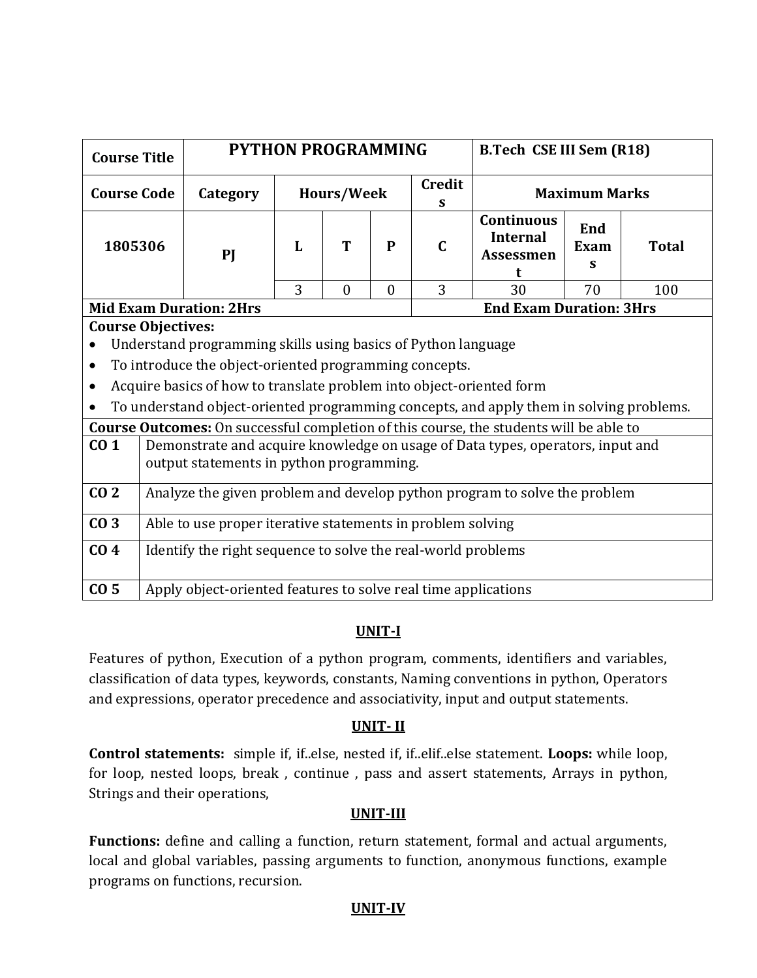| <b>Course Title</b>                        |                                                            |                                                                      | <b>PYTHON PROGRAMMING</b> |   |           |                    | <b>B.Tech CSE III Sem (R18)</b>                                                         |                  |              |  |  |  |  |
|--------------------------------------------|------------------------------------------------------------|----------------------------------------------------------------------|---------------------------|---|-----------|--------------------|-----------------------------------------------------------------------------------------|------------------|--------------|--|--|--|--|
| <b>Course Code</b>                         |                                                            | Category                                                             | Hours/Week                |   |           | <b>Credit</b><br>S | <b>Maximum Marks</b>                                                                    |                  |              |  |  |  |  |
| 1805306                                    |                                                            | PI                                                                   | L                         | T | ${\bf P}$ | $\mathbf C$        | <b>Continuous</b><br><b>Internal</b><br><b>Assessmen</b><br>t                           | End<br>Exam<br>S | <b>Total</b> |  |  |  |  |
| 3<br>3<br>30<br>$\theta$<br>$\theta$<br>70 |                                                            |                                                                      |                           |   |           |                    |                                                                                         | 100              |              |  |  |  |  |
|                                            |                                                            | <b>Mid Exam Duration: 2Hrs</b>                                       |                           |   |           |                    | <b>End Exam Duration: 3Hrs</b>                                                          |                  |              |  |  |  |  |
| <b>Course Objectives:</b>                  |                                                            |                                                                      |                           |   |           |                    |                                                                                         |                  |              |  |  |  |  |
|                                            |                                                            | Understand programming skills using basics of Python language        |                           |   |           |                    |                                                                                         |                  |              |  |  |  |  |
| $\bullet$                                  |                                                            | To introduce the object-oriented programming concepts.               |                           |   |           |                    |                                                                                         |                  |              |  |  |  |  |
|                                            |                                                            | Acquire basics of how to translate problem into object-oriented form |                           |   |           |                    |                                                                                         |                  |              |  |  |  |  |
| $\bullet$                                  |                                                            |                                                                      |                           |   |           |                    | To understand object-oriented programming concepts, and apply them in solving problems. |                  |              |  |  |  |  |
|                                            |                                                            |                                                                      |                           |   |           |                    |                                                                                         |                  |              |  |  |  |  |
|                                            |                                                            |                                                                      |                           |   |           |                    | Course Outcomes: On successful completion of this course, the students will be able to  |                  |              |  |  |  |  |
| CO <sub>1</sub>                            |                                                            | output statements in python programming.                             |                           |   |           |                    | Demonstrate and acquire knowledge on usage of Data types, operators, input and          |                  |              |  |  |  |  |
| CO <sub>2</sub>                            |                                                            |                                                                      |                           |   |           |                    | Analyze the given problem and develop python program to solve the problem               |                  |              |  |  |  |  |
| CO <sub>3</sub>                            | Able to use proper iterative statements in problem solving |                                                                      |                           |   |           |                    |                                                                                         |                  |              |  |  |  |  |
| CO <sub>4</sub>                            |                                                            | Identify the right sequence to solve the real-world problems         |                           |   |           |                    |                                                                                         |                  |              |  |  |  |  |
| CO <sub>5</sub>                            |                                                            | Apply object-oriented features to solve real time applications       |                           |   |           |                    |                                                                                         |                  |              |  |  |  |  |

Features of python, Execution of a python program, comments, identifiers and variables, classification of data types, keywords, constants, Naming conventions in python, Operators and expressions, operator precedence and associativity, input and output statements.

# **UNIT- II**

**Control statements:** simple if, if..else, nested if, if..elif..else statement. **Loops:** while loop, for loop, nested loops, break , continue , pass and assert statements, Arrays in python, Strings and their operations,

# **UNIT-III**

**Functions:** define and calling a function, return statement, formal and actual arguments, local and global variables, passing arguments to function, anonymous functions, example programs on functions, recursion.

# **UNIT-IV**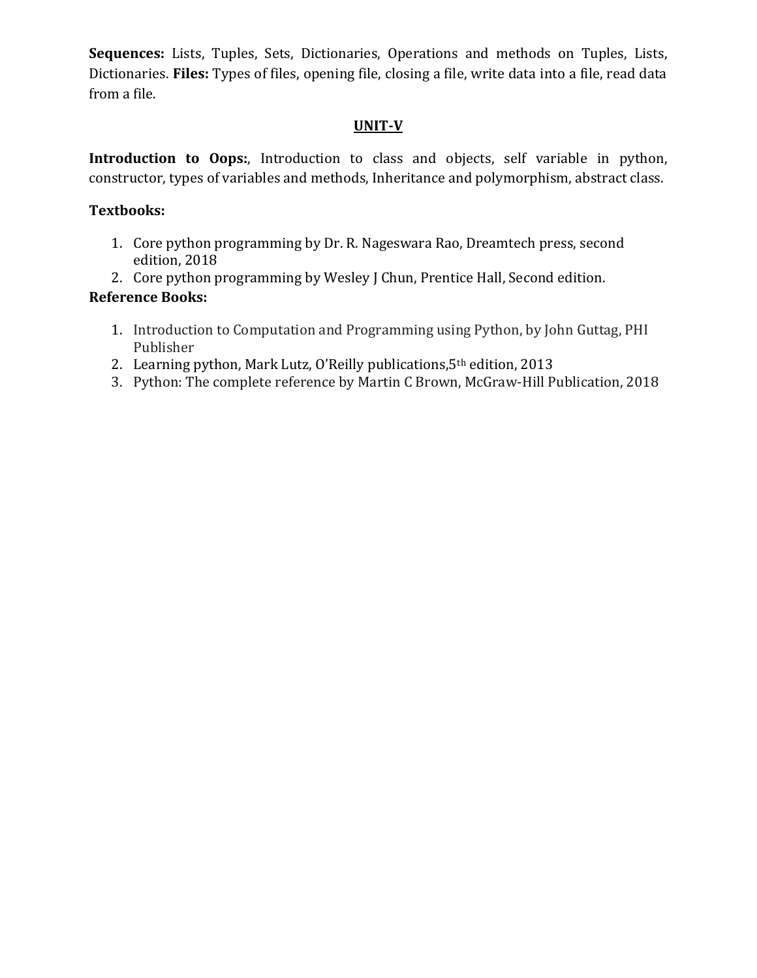**Sequences:** Lists, Tuples, Sets, Dictionaries, Operations and methods on Tuples, Lists, Dictionaries. **Files:** Types of files, opening file, closing a file, write data into a file, read data from a file.

# **UNIT-V**

**Introduction to Oops:**, Introduction to class and objects, self variable in python, constructor, types of variables and methods, Inheritance and polymorphism, abstract class.

# **Textbooks:**

- 1. Core python programming by Dr. R. Nageswara Rao, Dreamtech press, second edition, 2018
- 2. Core python programming by Wesley J Chun, Prentice Hall, Second edition.

# **Reference Books:**

- 1. Introduction to Computation and Programming using Python, by John Guttag, PHI Publisher
- 2. Learning python, Mark Lutz, O'Reilly publications,  $5<sup>th</sup>$  edition, 2013
- 3. Python: The complete reference by Martin C Brown, McGraw-Hill Publication, 2018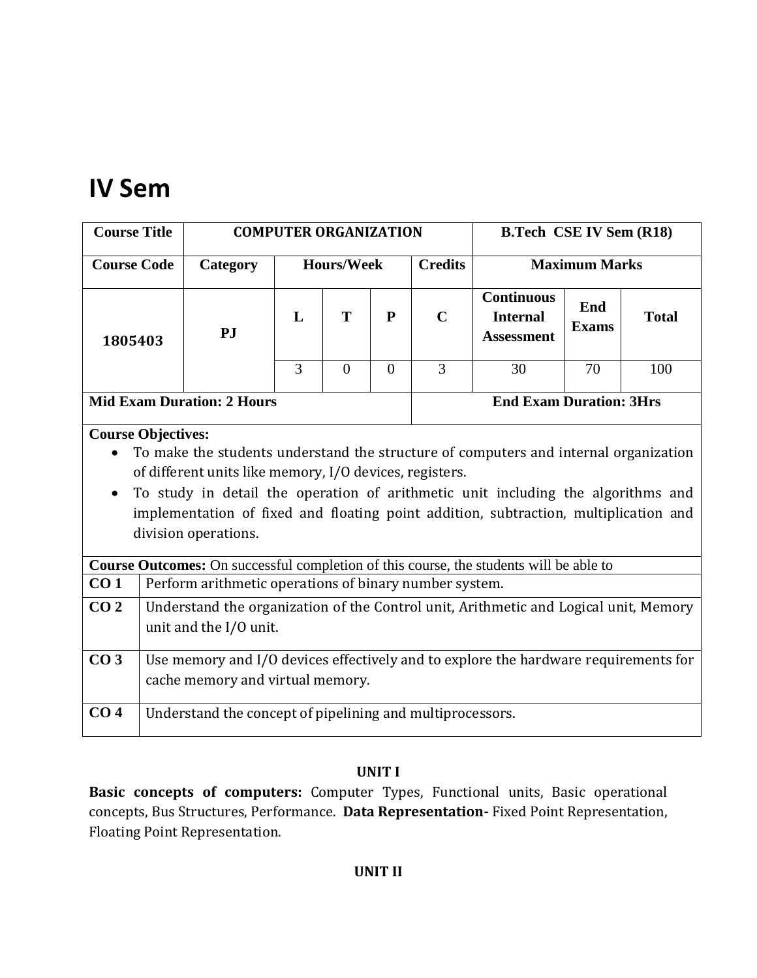# **IV Sem**

| <b>Course Title</b> |                                                                                                                                                                                                                                                                                                                                                                                  |                                                           | <b>COMPUTER ORGANIZATION</b> |          |                |                | <b>B.Tech CSE IV Sem (R18)</b>                                                         |                      |              |  |  |
|---------------------|----------------------------------------------------------------------------------------------------------------------------------------------------------------------------------------------------------------------------------------------------------------------------------------------------------------------------------------------------------------------------------|-----------------------------------------------------------|------------------------------|----------|----------------|----------------|----------------------------------------------------------------------------------------|----------------------|--------------|--|--|
| <b>Course Code</b>  |                                                                                                                                                                                                                                                                                                                                                                                  | Category                                                  | <b>Hours/Week</b>            |          |                | <b>Credits</b> |                                                                                        | <b>Maximum Marks</b> |              |  |  |
| 1805403             |                                                                                                                                                                                                                                                                                                                                                                                  | <b>PJ</b>                                                 | L                            | T        | ${\bf P}$      | $\mathbf C$    | <b>Continuous</b><br><b>Internal</b><br><b>Assessment</b>                              | End<br><b>Exams</b>  | <b>Total</b> |  |  |
|                     |                                                                                                                                                                                                                                                                                                                                                                                  |                                                           | 3                            | $\theta$ | $\overline{0}$ | $\overline{3}$ | 30                                                                                     | 70                   | 100          |  |  |
|                     |                                                                                                                                                                                                                                                                                                                                                                                  | <b>Mid Exam Duration: 2 Hours</b>                         |                              |          |                |                | <b>End Exam Duration: 3Hrs</b>                                                         |                      |              |  |  |
|                     | <b>Course Objectives:</b><br>To make the students understand the structure of computers and internal organization<br>of different units like memory, I/O devices, registers.<br>To study in detail the operation of arithmetic unit including the algorithms and<br>implementation of fixed and floating point addition, subtraction, multiplication and<br>division operations. |                                                           |                              |          |                |                |                                                                                        |                      |              |  |  |
|                     |                                                                                                                                                                                                                                                                                                                                                                                  |                                                           |                              |          |                |                | Course Outcomes: On successful completion of this course, the students will be able to |                      |              |  |  |
| CO <sub>1</sub>     |                                                                                                                                                                                                                                                                                                                                                                                  | Perform arithmetic operations of binary number system.    |                              |          |                |                |                                                                                        |                      |              |  |  |
| CO <sub>2</sub>     |                                                                                                                                                                                                                                                                                                                                                                                  | unit and the I/O unit.                                    |                              |          |                |                | Understand the organization of the Control unit, Arithmetic and Logical unit, Memory   |                      |              |  |  |
| CO <sub>3</sub>     |                                                                                                                                                                                                                                                                                                                                                                                  | cache memory and virtual memory.                          |                              |          |                |                | Use memory and I/O devices effectively and to explore the hardware requirements for    |                      |              |  |  |
| CO <sub>4</sub>     |                                                                                                                                                                                                                                                                                                                                                                                  | Understand the concept of pipelining and multiprocessors. |                              |          |                |                |                                                                                        |                      |              |  |  |

# **UNIT I**

**Basic concepts of computers:** Computer Types, Functional units, Basic operational concepts, Bus Structures, Performance. **Data Representation-** Fixed Point Representation, Floating Point Representation.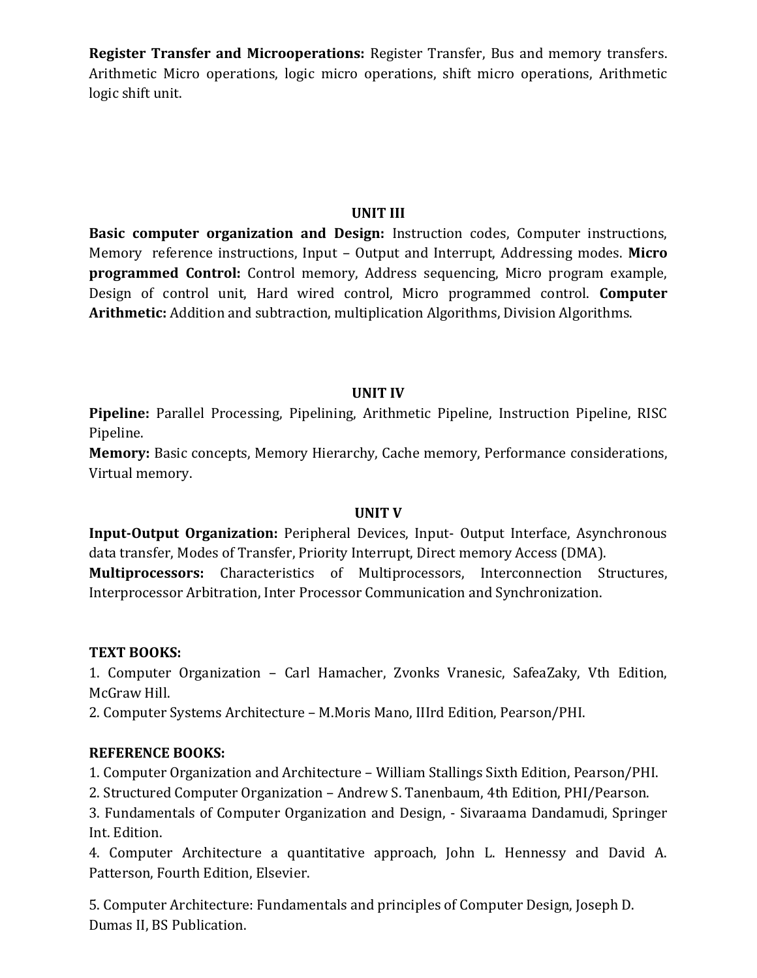**Register Transfer and Microoperations:** Register Transfer, Bus and memory transfers. Arithmetic Micro operations, logic micro operations, shift micro operations, Arithmetic logic shift unit.

# **UNIT III**

**Basic computer organization and Design:** Instruction codes, Computer instructions, Memory reference instructions, Input – Output and Interrupt, Addressing modes. **Micro programmed Control:** Control memory, Address sequencing, Micro program example, Design of control unit, Hard wired control, Micro programmed control. **Computer Arithmetic:** Addition and subtraction, multiplication Algorithms, Division Algorithms.

# **UNIT IV**

**Pipeline:** Parallel Processing, Pipelining, Arithmetic Pipeline, Instruction Pipeline, RISC Pipeline.

**Memory:** Basic concepts, Memory Hierarchy, Cache memory, Performance considerations, Virtual memory.

# **UNIT V**

**Input-Output Organization:** Peripheral Devices, Input- Output Interface, Asynchronous data transfer, Modes of Transfer, Priority Interrupt, Direct memory Access (DMA). **Multiprocessors:** Characteristics of Multiprocessors, Interconnection Structures, Interprocessor Arbitration, Inter Processor Communication and Synchronization.

# **TEXT BOOKS:**

1. Computer Organization – Carl Hamacher, Zvonks Vranesic, SafeaZaky, Vth Edition, McGraw Hill.

2. Computer Systems Architecture – M.Moris Mano, IIIrd Edition, Pearson/PHI.

# **REFERENCE BOOKS:**

1. Computer Organization and Architecture – William Stallings Sixth Edition, Pearson/PHI.

2. Structured Computer Organization – Andrew S. Tanenbaum, 4th Edition, PHI/Pearson.

3. Fundamentals of Computer Organization and Design, - Sivaraama Dandamudi, Springer Int. Edition.

4. Computer Architecture a quantitative approach, John L. Hennessy and David A. Patterson, Fourth Edition, Elsevier.

5. Computer Architecture: Fundamentals and principles of Computer Design, Joseph D. Dumas II, BS Publication.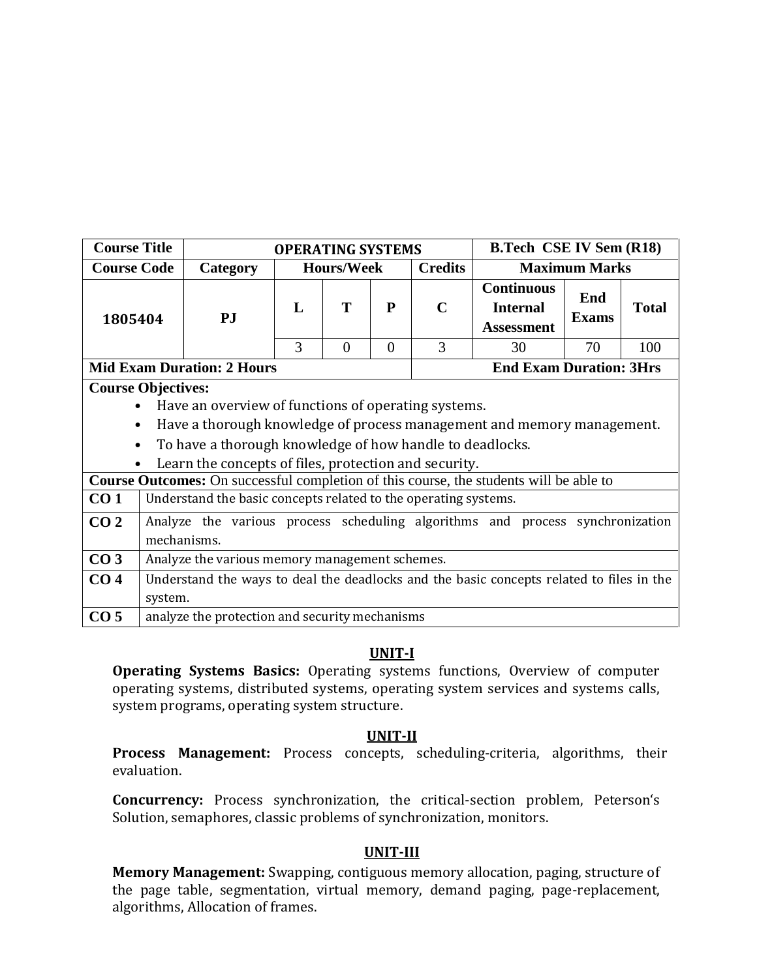| <b>Course Title</b>                    |             |                                                                                                                                                                          | <b>OPERATING SYSTEMS</b> |                   |          |                | <b>B.Tech CSE IV Sem (R18)</b>                                                                                                                                          |                      |              |  |  |
|----------------------------------------|-------------|--------------------------------------------------------------------------------------------------------------------------------------------------------------------------|--------------------------|-------------------|----------|----------------|-------------------------------------------------------------------------------------------------------------------------------------------------------------------------|----------------------|--------------|--|--|
| <b>Course Code</b>                     |             | Category                                                                                                                                                                 |                          | <b>Hours/Week</b> |          | <b>Credits</b> |                                                                                                                                                                         | <b>Maximum Marks</b> |              |  |  |
| 1805404                                |             | PJ                                                                                                                                                                       | L                        | T                 | P        | $\mathbf C$    | <b>Continuous</b><br><b>Internal</b><br><b>Assessment</b>                                                                                                               | End<br><b>Exams</b>  | <b>Total</b> |  |  |
|                                        |             |                                                                                                                                                                          | 3                        | $\theta$          | $\Omega$ | 3              | 30                                                                                                                                                                      | 70                   | 100          |  |  |
|                                        |             | <b>Mid Exam Duration: 2 Hours</b>                                                                                                                                        |                          |                   |          |                | <b>End Exam Duration: 3Hrs</b>                                                                                                                                          |                      |              |  |  |
| <b>Course Objectives:</b><br>$\bullet$ |             | Have an overview of functions of operating systems.<br>To have a thorough knowledge of how handle to deadlocks.<br>Learn the concepts of files, protection and security. |                          |                   |          |                | Have a thorough knowledge of process management and memory management.<br><b>Course Outcomes:</b> On successful completion of this course, the students will be able to |                      |              |  |  |
| CO <sub>1</sub>                        |             | Understand the basic concepts related to the operating systems.                                                                                                          |                          |                   |          |                |                                                                                                                                                                         |                      |              |  |  |
| CO <sub>2</sub>                        | mechanisms. |                                                                                                                                                                          |                          |                   |          |                | Analyze the various process scheduling algorithms and process synchronization                                                                                           |                      |              |  |  |
| CO <sub>3</sub>                        |             | Analyze the various memory management schemes.                                                                                                                           |                          |                   |          |                |                                                                                                                                                                         |                      |              |  |  |
| CO <sub>4</sub>                        |             |                                                                                                                                                                          |                          |                   |          |                | Understand the ways to deal the deadlocks and the basic concepts related to files in the                                                                                |                      |              |  |  |
| CO <sub>5</sub>                        | system.     | analyze the protection and security mechanisms                                                                                                                           |                          |                   |          |                |                                                                                                                                                                         |                      |              |  |  |
|                                        |             |                                                                                                                                                                          |                          |                   |          |                |                                                                                                                                                                         |                      |              |  |  |

**Operating Systems Basics:** Operating systems functions, Overview of computer operating systems, distributed systems, operating system services and systems calls, system programs, operating system structure.

## **UNIT-II**

**Process Management:** Process concepts, scheduling-criteria, algorithms, their evaluation.

**Concurrency:** Process synchronization, the critical-section problem, Peterson's Solution, semaphores, classic problems of synchronization, monitors.

# **UNIT-III**

**Memory Management:** Swapping, contiguous memory allocation, paging, structure of the page table, segmentation, virtual memory, demand paging, page-replacement, algorithms, Allocation of frames.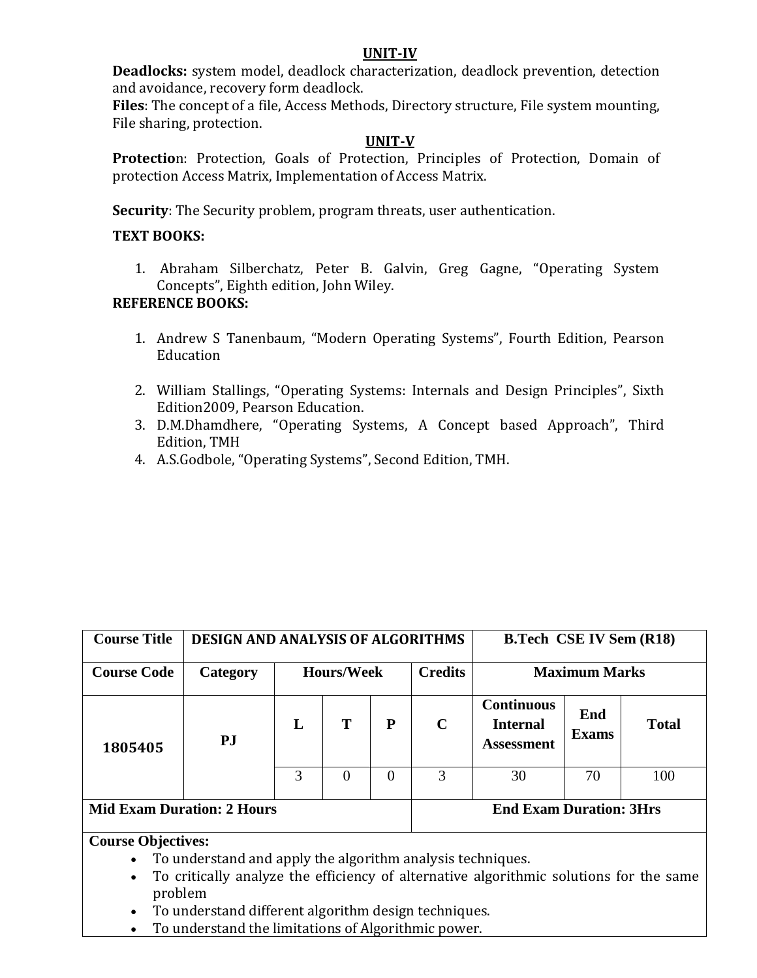**Deadlocks:** system model, deadlock characterization, deadlock prevention, detection and avoidance, recovery form deadlock.

**Files**: The concept of a file, Access Methods, Directory structure, File system mounting, File sharing, protection.

## **UNIT-V**

**Protectio**n: Protection, Goals of Protection, Principles of Protection, Domain of protection Access Matrix, Implementation of Access Matrix.

**Security**: The Security problem, program threats, user authentication.

## **TEXT BOOKS:**

1. Abraham Silberchatz, Peter B. Galvin, Greg Gagne, "Operating System Concepts", Eighth edition, John Wiley.

## **REFERENCE BOOKS:**

- 1. Andrew S Tanenbaum, "Modern Operating Systems", Fourth Edition, Pearson Education
- 2. William Stallings, "Operating Systems: Internals and Design Principles", Sixth Edition2009, Pearson Education.
- 3. D.M.Dhamdhere, "Operating Systems, A Concept based Approach", Third Edition, TMH
- 4. A.S.Godbole, "Operating Systems", Second Edition, TMH.

| <b>Course Title</b>                                                                     | <b>DESIGN AND ANALYSIS OF ALGORITHMS</b> |   |          |          |                | <b>B.Tech CSE IV Sem (R18)</b>                            |                      |              |  |  |
|-----------------------------------------------------------------------------------------|------------------------------------------|---|----------|----------|----------------|-----------------------------------------------------------|----------------------|--------------|--|--|
| <b>Course Code</b>                                                                      | <b>Hours/Week</b><br>Category            |   |          |          | <b>Credits</b> |                                                           | <b>Maximum Marks</b> |              |  |  |
| 1805405                                                                                 | $\mathbf{P} \mathbf{J}$                  | L | T        | P        | $\mathbf C$    | <b>Continuous</b><br><b>Internal</b><br><b>Assessment</b> | End<br><b>Exams</b>  | <b>Total</b> |  |  |
|                                                                                         |                                          | 3 | $\Omega$ | $\Omega$ | 3              | 30                                                        | 70                   | 100          |  |  |
| <b>Mid Exam Duration: 2 Hours</b>                                                       |                                          |   |          |          |                | <b>End Exam Duration: 3Hrs</b>                            |                      |              |  |  |
| <b>Course Objectives:</b><br>To understand and apply the algorithm analysis techniques. |                                          |   |          |          |                |                                                           |                      |              |  |  |

- To critically analyze the efficiency of alternative algorithmic solutions for the same problem
- To understand different algorithm design techniques.
- To understand the limitations of Algorithmic power.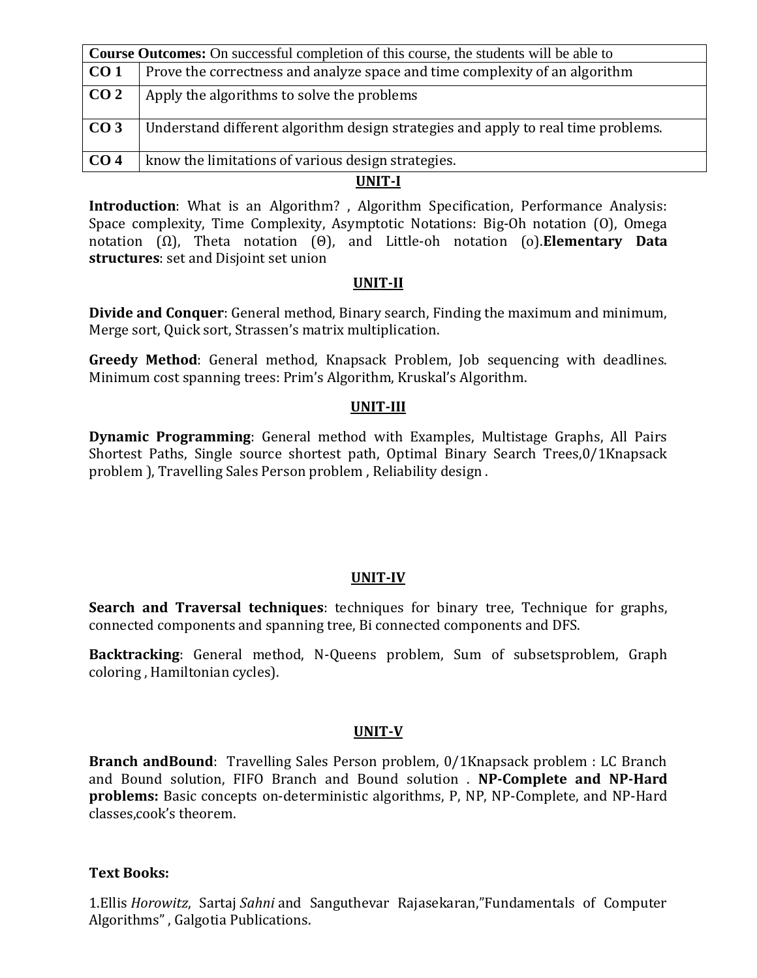|                 | <b>Course Outcomes:</b> On successful completion of this course, the students will be able to |  |  |  |  |  |  |  |
|-----------------|-----------------------------------------------------------------------------------------------|--|--|--|--|--|--|--|
| CO <sub>1</sub> | Prove the correctness and analyze space and time complexity of an algorithm                   |  |  |  |  |  |  |  |
| CO <sub>2</sub> | Apply the algorithms to solve the problems                                                    |  |  |  |  |  |  |  |
| CO <sub>3</sub> | Understand different algorithm design strategies and apply to real time problems.             |  |  |  |  |  |  |  |
| CO <sub>4</sub> | know the limitations of various design strategies.                                            |  |  |  |  |  |  |  |
|                 | TIBITI T                                                                                      |  |  |  |  |  |  |  |

**Introduction**: What is an Algorithm?, Algorithm Specification, Performance Analysis: Space complexity, Time Complexity, Asymptotic Notations: Big-Oh notation (O), Omega notation (Ω), Theta notation (Θ), and Little-oh notation (o).**Elementary Data structures**: set and Disjoint set union

## **UNIT-II**

**Divide and Conquer**: General method, Binary search, Finding the maximum and minimum, Merge sort, Quick sort, Strassen's matrix multiplication.

**Greedy Method**: General method, Knapsack Problem, Job sequencing with deadlines. Minimum cost spanning trees: Prim's Algorithm, Kruskal's Algorithm.

## **UNIT-III**

**Dynamic Programming**: General method with Examples, Multistage Graphs, All Pairs Shortest Paths, Single source shortest path, Optimal Binary Search Trees,0/1Knapsack problem ), Travelling Sales Person problem , Reliability design .

## **UNIT-IV**

**Search and Traversal techniques**: techniques for binary tree, Technique for graphs, connected components and spanning tree, Bi connected components and DFS.

**Backtracking**: General method, N-Queens problem, Sum of subsetsproblem, Graph coloring , Hamiltonian cycles).

## **UNIT-V**

**Branch andBound**: Travelling Sales Person problem, 0/1Knapsack problem : LC Branch and Bound solution, FIFO Branch and Bound solution . **NP-Complete and NP-Hard problems:** Basic concepts on-deterministic algorithms, P, NP, NP-Complete, and NP-Hard classes,cook's theorem.

## **Text Books:**

1.Ellis *Horowitz*, Sartaj *Sahni* and Sanguthevar Rajasekaran,"Fundamentals of Computer Algorithms" , Galgotia Publications.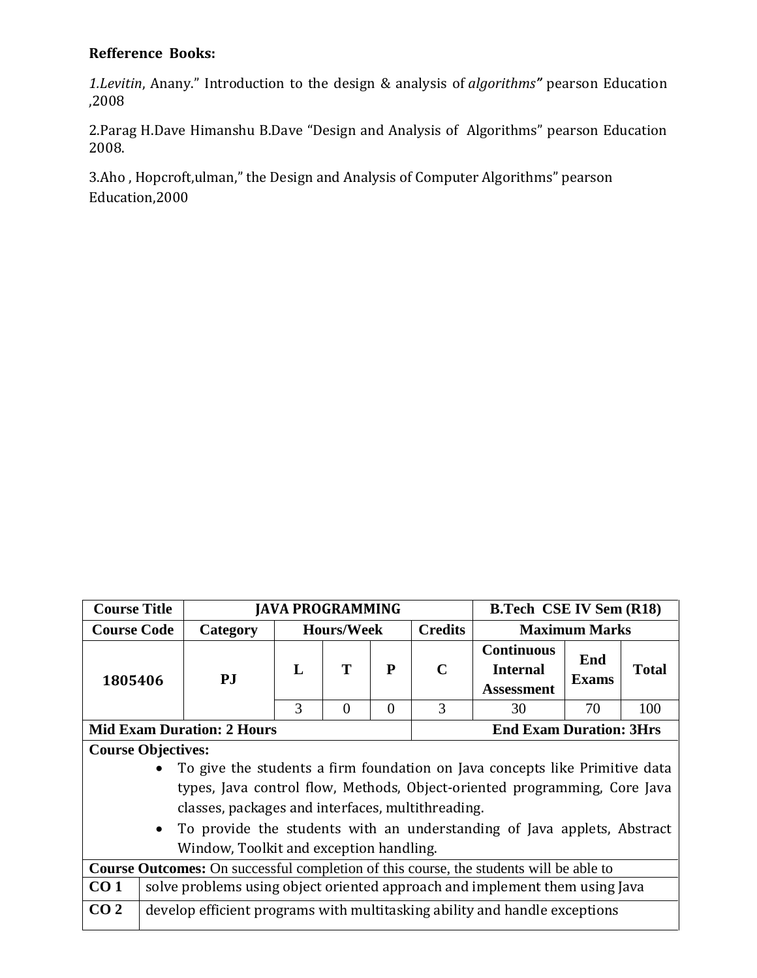# **Refference Books:**

*1.Levitin*, Anany." Introduction to the design & analysis of *algorithms"* pearson Education ,2008

2.Parag H.Dave Himanshu B.Dave "Design and Analysis of Algorithms" pearson Education 2008.

3.Aho , Hopcroft,ulman," the Design and Analysis of Computer Algorithms" pearson Education,2000

| <b>Course Title</b> |                                                                                               | <b>JAVA PROGRAMMING</b><br><b>B.Tech CSE IV Sem (R18)</b> |   |                   |          |                |                                                                             |                                           |              |  |
|---------------------|-----------------------------------------------------------------------------------------------|-----------------------------------------------------------|---|-------------------|----------|----------------|-----------------------------------------------------------------------------|-------------------------------------------|--------------|--|
| <b>Course Code</b>  |                                                                                               | Category                                                  |   | <b>Hours/Week</b> |          | <b>Credits</b> |                                                                             | <b>Maximum Marks</b><br><b>Continuous</b> |              |  |
| 1805406             |                                                                                               | PJ                                                        | L | T                 | P        | $\mathbf C$    | <b>Internal</b><br><b>Assessment</b>                                        | End<br>Exams                              | <b>Total</b> |  |
|                     |                                                                                               |                                                           | 3 | $\theta$          | $\theta$ | $\mathcal{R}$  | 30                                                                          | 70                                        | 100          |  |
|                     | <b>Mid Exam Duration: 2 Hours</b><br><b>End Exam Duration: 3Hrs</b>                           |                                                           |   |                   |          |                |                                                                             |                                           |              |  |
|                     | <b>Course Objectives:</b>                                                                     |                                                           |   |                   |          |                |                                                                             |                                           |              |  |
|                     | To give the students a firm foundation on Java concepts like Primitive data                   |                                                           |   |                   |          |                |                                                                             |                                           |              |  |
|                     |                                                                                               |                                                           |   |                   |          |                | types, Java control flow, Methods, Object-oriented programming, Core Java   |                                           |              |  |
|                     |                                                                                               | classes, packages and interfaces, multithreading.         |   |                   |          |                |                                                                             |                                           |              |  |
|                     | $\bullet$                                                                                     |                                                           |   |                   |          |                | To provide the students with an understanding of Java applets, Abstract     |                                           |              |  |
|                     |                                                                                               | Window, Toolkit and exception handling.                   |   |                   |          |                |                                                                             |                                           |              |  |
|                     | <b>Course Outcomes:</b> On successful completion of this course, the students will be able to |                                                           |   |                   |          |                |                                                                             |                                           |              |  |
| CO <sub>1</sub>     |                                                                                               |                                                           |   |                   |          |                | solve problems using object oriented approach and implement them using Java |                                           |              |  |
| CO <sub>2</sub>     |                                                                                               |                                                           |   |                   |          |                | develop efficient programs with multitasking ability and handle exceptions  |                                           |              |  |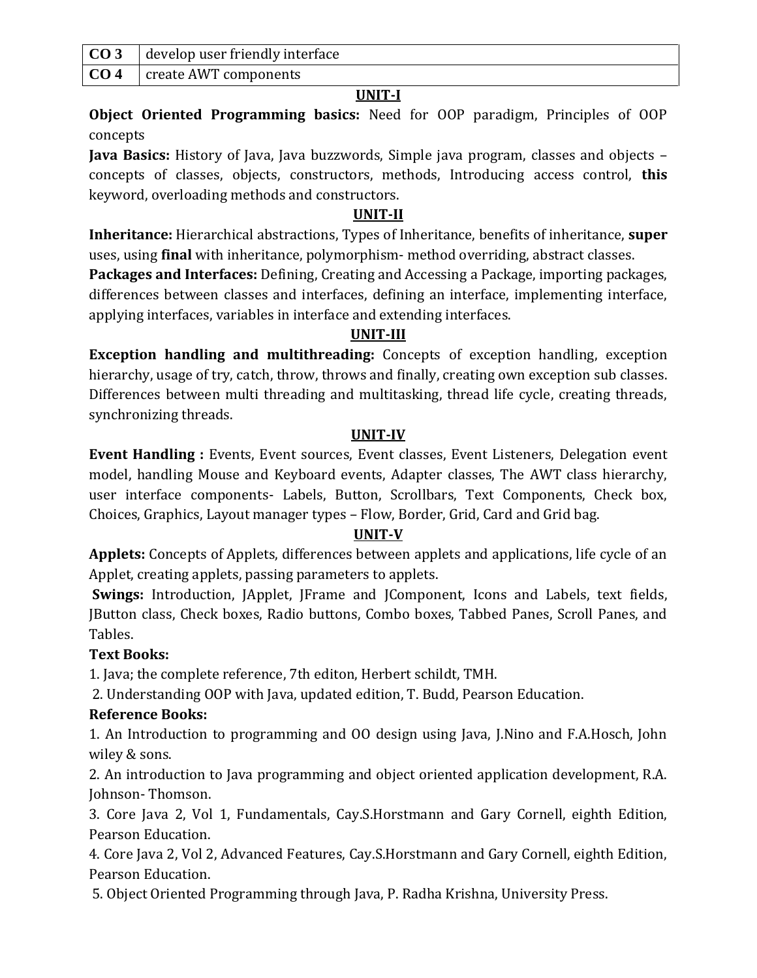| $\overline{CO3}$ develop user friendly interface |
|--------------------------------------------------|
| <b>CO 4</b>   create AWT components              |

**Object Oriented Programming basics:** Need for OOP paradigm, Principles of OOP concepts

**Java Basics:** History of Java, Java buzzwords, Simple java program, classes and objects – concepts of classes, objects, constructors, methods, Introducing access control, **this** keyword, overloading methods and constructors.

# **UNIT-II**

**Inheritance:** Hierarchical abstractions, Types of Inheritance, benefits of inheritance, **super** uses, using **final** with inheritance, polymorphism- method overriding, abstract classes.

**Packages and Interfaces:** Defining, Creating and Accessing a Package, importing packages, differences between classes and interfaces, defining an interface, implementing interface, applying interfaces, variables in interface and extending interfaces.

# **UNIT-III**

**Exception handling and multithreading:** Concepts of exception handling, exception hierarchy, usage of try, catch, throw, throws and finally, creating own exception sub classes. Differences between multi threading and multitasking, thread life cycle, creating threads, synchronizing threads.

# **UNIT-IV**

**Event Handling :** Events, Event sources, Event classes, Event Listeners, Delegation event model, handling Mouse and Keyboard events, Adapter classes, The AWT class hierarchy, user interface components- Labels, Button, Scrollbars, Text Components, Check box, Choices, Graphics, Layout manager types – Flow, Border, Grid, Card and Grid bag.

# **UNIT-V**

**Applets:** Concepts of Applets, differences between applets and applications, life cycle of an Applet, creating applets, passing parameters to applets.

**Swings:** Introduction, JApplet, JFrame and JComponent, Icons and Labels, text fields, JButton class, Check boxes, Radio buttons, Combo boxes, Tabbed Panes, Scroll Panes, and Tables.

# **Text Books:**

1. Java; the complete reference, 7th editon, Herbert schildt, TMH.

2. Understanding OOP with Java, updated edition, T. Budd, Pearson Education.

# **Reference Books:**

1. An Introduction to programming and OO design using Java, J.Nino and F.A.Hosch, John wiley & sons.

2. An introduction to Java programming and object oriented application development, R.A. Johnson- Thomson.

3. Core Java 2, Vol 1, Fundamentals, Cay.S.Horstmann and Gary Cornell, eighth Edition, Pearson Education.

4. Core Java 2, Vol 2, Advanced Features, Cay.S.Horstmann and Gary Cornell, eighth Edition, Pearson Education.

5. Object Oriented Programming through Java, P. Radha Krishna, University Press.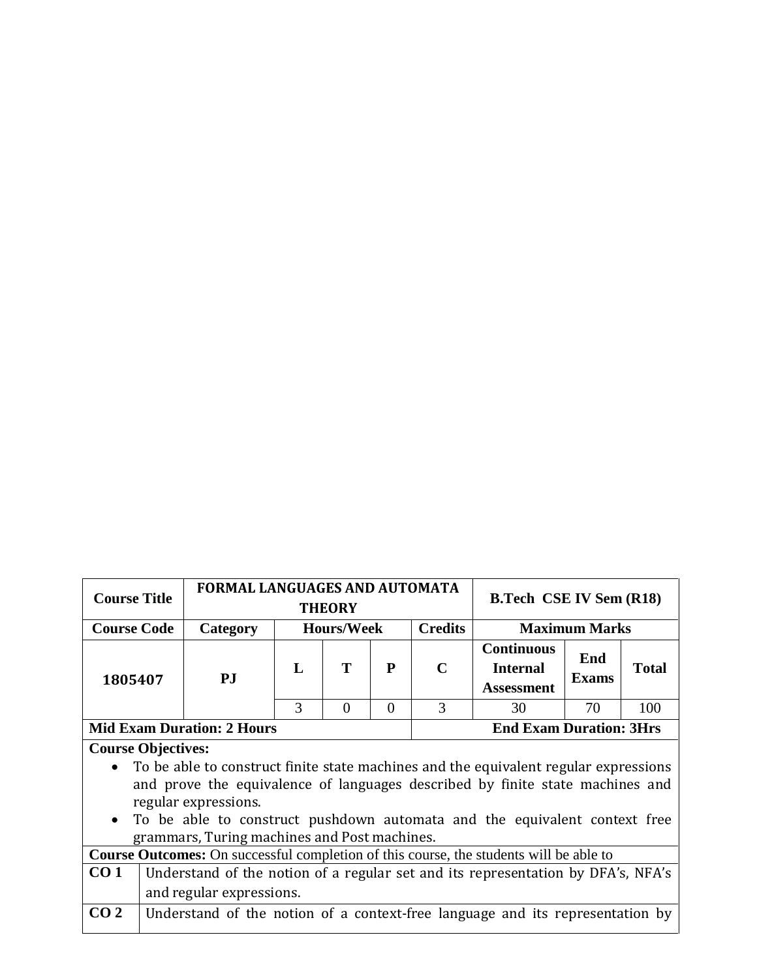| <b>Course Title</b>                                                                                                                                                                                                                                                                                                        |                                                                                  | <b>FORMAL LANGUAGES AND AUTOMATA</b><br><b>THEORY</b> |                |                      |           |             | <b>B.Tech CSE IV Sem (R18)</b>                            |                     |              |
|----------------------------------------------------------------------------------------------------------------------------------------------------------------------------------------------------------------------------------------------------------------------------------------------------------------------------|----------------------------------------------------------------------------------|-------------------------------------------------------|----------------|----------------------|-----------|-------------|-----------------------------------------------------------|---------------------|--------------|
|                                                                                                                                                                                                                                                                                                                            | <b>Course Code</b><br><b>Hours/Week</b><br>Category                              |                                                       | <b>Credits</b> | <b>Maximum Marks</b> |           |             |                                                           |                     |              |
| 1805407                                                                                                                                                                                                                                                                                                                    |                                                                                  | PJ                                                    | L              | T                    | ${\bf P}$ | $\mathbf C$ | <b>Continuous</b><br><b>Internal</b><br><b>Assessment</b> | End<br><b>Exams</b> | <b>Total</b> |
|                                                                                                                                                                                                                                                                                                                            |                                                                                  |                                                       | 3              | $\Omega$             | $\Omega$  | 3           | 30                                                        | 70                  | 100          |
| <b>Mid Exam Duration: 2 Hours</b><br><b>End Exam Duration: 3Hrs</b>                                                                                                                                                                                                                                                        |                                                                                  |                                                       |                |                      |           |             |                                                           |                     |              |
| <b>Course Objectives:</b>                                                                                                                                                                                                                                                                                                  |                                                                                  |                                                       |                |                      |           |             |                                                           |                     |              |
| To be able to construct finite state machines and the equivalent regular expressions<br>and prove the equivalence of languages described by finite state machines and<br>regular expressions.<br>To be able to construct pushdown automata and the equivalent context free<br>grammars, Turing machines and Post machines. |                                                                                  |                                                       |                |                      |           |             |                                                           |                     |              |
| <b>Course Outcomes:</b> On successful completion of this course, the students will be able to                                                                                                                                                                                                                              |                                                                                  |                                                       |                |                      |           |             |                                                           |                     |              |
| CO <sub>1</sub>                                                                                                                                                                                                                                                                                                            | Understand of the notion of a regular set and its representation by DFA's, NFA's |                                                       |                |                      |           |             |                                                           |                     |              |
|                                                                                                                                                                                                                                                                                                                            |                                                                                  | and regular expressions.                              |                |                      |           |             |                                                           |                     |              |
| CO <sub>2</sub>                                                                                                                                                                                                                                                                                                            | Understand of the notion of a context-free language and its representation by    |                                                       |                |                      |           |             |                                                           |                     |              |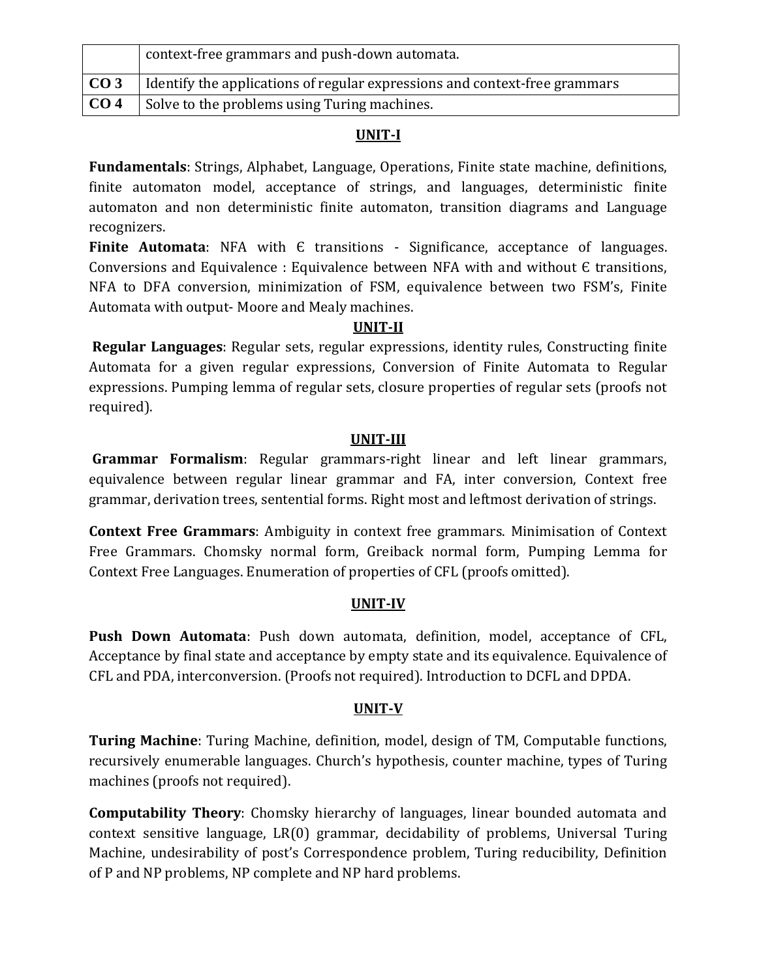|                 | context-free grammars and push-down automata.                               |
|-----------------|-----------------------------------------------------------------------------|
| CO <sub>3</sub> | I dentify the applications of regular expressions and context-free grammars |
| CO <sub>4</sub> | Solve to the problems using Turing machines.                                |

**Fundamentals**: Strings, Alphabet, Language, Operations, Finite state machine, definitions, finite automaton model, acceptance of strings, and languages, deterministic finite automaton and non deterministic finite automaton, transition diagrams and Language recognizers.

**Finite Automata**: NFA with E transitions - Significance, acceptance of languages. Conversions and Equivalence : Equivalence between NFA with and without Є transitions, NFA to DFA conversion, minimization of FSM, equivalence between two FSM's, Finite Automata with output- Moore and Mealy machines.

# **UNIT-II**

**Regular Languages**: Regular sets, regular expressions, identity rules, Constructing finite Automata for a given regular expressions, Conversion of Finite Automata to Regular expressions. Pumping lemma of regular sets, closure properties of regular sets (proofs not required).

# **UNIT-III**

**Grammar Formalism**: Regular grammars-right linear and left linear grammars, equivalence between regular linear grammar and FA, inter conversion, Context free grammar, derivation trees, sentential forms. Right most and leftmost derivation of strings.

**Context Free Grammars**: Ambiguity in context free grammars. Minimisation of Context Free Grammars. Chomsky normal form, Greiback normal form, Pumping Lemma for Context Free Languages. Enumeration of properties of CFL (proofs omitted).

# **UNIT-IV**

**Push Down Automata**: Push down automata, definition, model, acceptance of CFL, Acceptance by final state and acceptance by empty state and its equivalence. Equivalence of CFL and PDA, interconversion. (Proofs not required). Introduction to DCFL and DPDA.

# **UNIT-V**

**Turing Machine**: Turing Machine, definition, model, design of TM, Computable functions, recursively enumerable languages. Church's hypothesis, counter machine, types of Turing machines (proofs not required).

**Computability Theory**: Chomsky hierarchy of languages, linear bounded automata and context sensitive language, LR(0) grammar, decidability of problems, Universal Turing Machine, undesirability of post's Correspondence problem, Turing reducibility, Definition of P and NP problems, NP complete and NP hard problems.